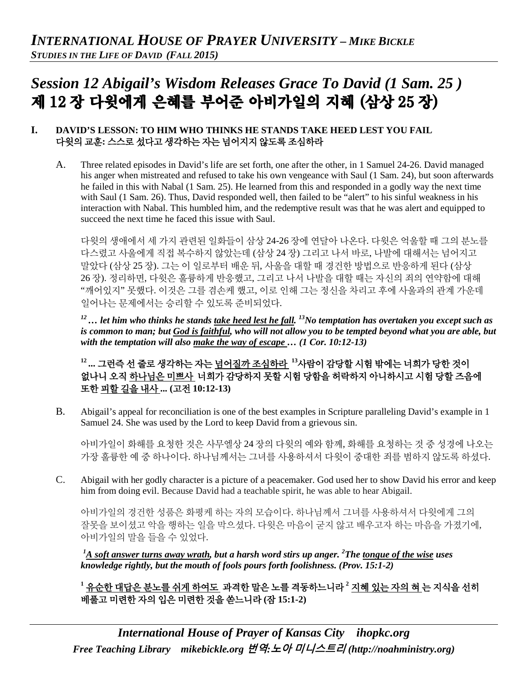# *Session 12 Abigail's Wisdom Releases Grace To David (1 Sam. 25 )* 제 12 장 다윗에게 은혜를 부어준 아비가일의 지혜 (삼상 25 장)

## **I. DAVID'S LESSON: TO HIM WHO THINKS HE STANDS TAKE HEED LEST YOU FAIL** 다윗의 교훈**:** 스스로 섰다고 생각하는 자는 넘어지지 않도록 조심하라

A. Three related episodes in David's life are set forth, one after the other, in 1 Samuel 24-26. David managed his anger when mistreated and refused to take his own vengeance with Saul (1 Sam. 24), but soon afterwards he failed in this with Nabal (1 Sam. 25). He learned from this and responded in a godly way the next time with Saul (1 Sam. 26). Thus, David responded well, then failed to be "alert" to his sinful weakness in his interaction with Nabal. This humbled him, and the redemptive result was that he was alert and equipped to succeed the next time he faced this issue with Saul.

다윗의 생애에서 세 가지 관련된 일화들이 삼상 24-26 장에 연달아 나온다. 다윗은 억울할 때 그의 분노를 다스렸고 사울에게 직접 복수하지 않았는데 (삼상 24 장) 그리고 나서 바로, 나발에 대해서는 넘어지고 말았다 (삼상 25 장). 그는 이 일로부터 배운 뒤, 사울을 대할 때 경건한 방법으로 반응하게 된다 (삼상 26 장). 정리하면, 다윗은 훌륭하게 반응했고, 그리고 나서 나발을 대할 때는 자신의 죄의 연약함에 대해 "깨어있지" 못했다. 이것은 그를 겸손케 했고, 이로 인해 그는 정신을 차리고 후에 사울과의 관계 가운데 일어나는 문제에서는 승리할 수 있도록 준비되었다.

*12… let him who thinks he stands take heed lest he fall. 13No temptation has overtaken you except such as is common to man; but God is faithful, who will not allow you to be tempted beyond what you are able, but with the temptation will also make the way of escape … (1 Cor. 10:12-13)*

# **<sup>12</sup> ...** 그런즉 선 줄로 생각하는 자는 넘어질까 조심하라 **<sup>13</sup>**사람이 감당할 시험 밖에는 너희가 당한 것이 없나니 오직 하나님은 미쁘사 너희가 감당하지 못할 시험 당함을 허락하지 아니하시고 시험 당할 즈음에 또한 피할 길을 내사 **... (**고전 **10:12-13)**

B. Abigail's appeal for reconciliation is one of the best examples in Scripture paralleling David's example in 1 Samuel 24. She was used by the Lord to keep David from a grievous sin.

아비가일이 화해를 요청한 것은 사무엘상 24 장의 다윗의 예와 함께, 화해를 요청하는 것 중 성경에 나오는 가장 훌륭한 예 중 하나이다. 하나님께서는 그녀를 사용하셔서 다윗이 중대한 죄를 범하지 않도록 하셨다.

C. Abigail with her godly character is a picture of a peacemaker. God used her to show David his error and keep him from doing evil. Because David had a teachable spirit, he was able to hear Abigail.

아비가일의 경건한 성품은 화평케 하는 자의 모습이다. 하나님께서 그녀를 사용하셔서 다윗에게 그의 잘못을 보이셨고 악을 행하는 일을 막으셨다. 다윗은 마음이 굳지 않고 배우고자 하는 마음을 가졌기에, 아비가일의 말을 들을 수 있었다.

<sup>1</sup><u>A soft answer turns away wrath</u>, but a harsh word stirs up anger. <sup>2</sup>The <u>tongue of the wise</u> uses *knowledge rightly, but the mouth of fools pours forth foolishness. (Prov. 15:1-2)*

<sup>1</sup> <u>유순한 대답은 분노를 쉬게 하여도</u> 과격한 말은 노를 격동하느니라 <sup>2</sup> <u>지혜 있는 자의 혀</u> 는 지식을 선히 베풀고 미련한 자의 입은 미련한 것을 쏟느니라 **(**잠 **15:1-2)**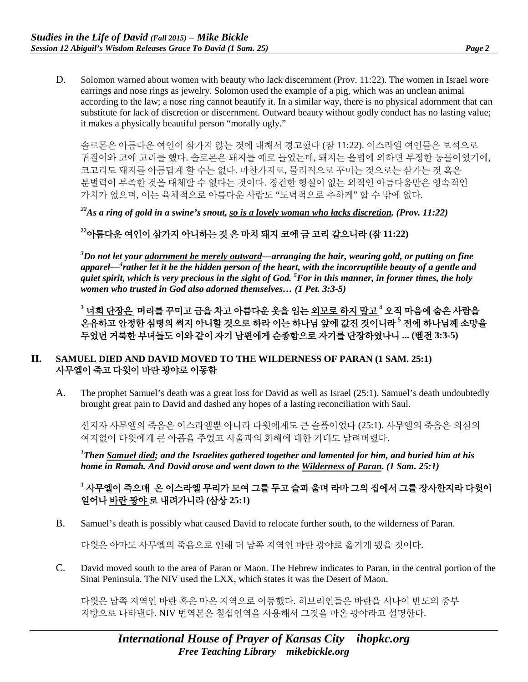D. Solomon warned about women with beauty who lack discernment (Prov. 11:22). The women in Israel wore earrings and nose rings as jewelry. Solomon used the example of a pig, which was an unclean animal according to the law; a nose ring cannot beautify it. In a similar way, there is no physical adornment that can substitute for lack of discretion or discernment. Outward beauty without godly conduct has no lasting value; it makes a physically beautiful person "morally ugly."

솔로몬은 아름다운 여인이 삼가지 않는 것에 대해서 경고했다 (잠 11:22). 이스라엘 여인들은 보석으로 귀걸이와 코에 고리를 했다. 솔로몬은 돼지를 예로 들었는데, 돼지는 율법에 의하면 부정한 동물이었기에, 코고리도 돼지를 아름답게 할 수는 없다. 마찬가지로, 물리적으로 꾸미는 것으로는 삼가는 것 혹은 분별력이 부족한 것을 대체할 수 없다는 것이다. 경건한 행실이 없는 외적인 아름다움만은 영속적인 가치가 없으며, 이는 육체적으로 아름다운 사람도 "도덕적으로 추하게" 할 수 밖에 없다.

*22As a ring of gold in a swine's snout, so is a lovely woman who lacks discretion. (Prov. 11:22)*

# **<sup>22</sup>**아름다운 여인이 삼가지 아니하는 것 은 마치 돼지 코에 금 고리 같으니라 **(**잠 **11:22)**

*3 Do not let your adornment be merely outward—arranging the hair, wearing gold, or putting on fine apparel—4 rather let it be the hidden person of the heart, with the incorruptible beauty of a gentle and quiet spirit, which is very precious in the sight of God. 5 For in this manner, in former times, the holy women who trusted in God also adorned themselves… (1 Pet. 3:3-5)*

**<sup>3</sup>** 너희 단장은 머리를 꾸미고 금을 차고 아름다운 옷을 입는 외모로 하지 말고 **<sup>4</sup>** 오직 마음에 숨은 사람을 온유하고 안정한 심령의 썩지 아니할 것으로 하라 이는 하나님 앞에 값진 것이니라 **<sup>5</sup>** 전에 하나님께 소망을 두었던 거룩한 부녀들도 이와 같이 자기 남편에게 순종함으로 자기를 단장하였나니 **... (**벧전 **3:3-5)**

## **II. SAMUEL DIED AND DAVID MOVED TO THE WILDERNESS OF PARAN (1 SAM. 25:1)** 사무엘이 죽고 다윗이 바란 광야로 이동함

A. The prophet Samuel's death was a great loss for David as well as Israel (25:1). Samuel's death undoubtedly brought great pain to David and dashed any hopes of a lasting reconciliation with Saul.

선지자 사무엘의 죽음은 이스라엘뿐 아니라 다윗에게도 큰 슬픔이었다 (25:1). 사무엘의 죽음은 의심의 여지없이 다윗에게 큰 아픔을 주었고 사울과의 화해에 대한 기대도 날려버렸다.

*1 Then Samuel died; and the Israelites gathered together and lamented for him, and buried him at his home in Ramah. And David arose and went down to the Wilderness of Paran. (1 Sam. 25:1)*

# **<sup>1</sup>** 사무엘이 죽으매 온 이스라엘 무리가 모여 그를 두고 슬피 울며 라마 그의 집에서 그를 장사한지라 다윗이 일어나 바란 광야 로 내려가니라 **(**삼상 **25:1)**

B. Samuel's death is possibly what caused David to relocate further south, to the wilderness of Paran.

다윗은 아마도 사무엘의 죽음으로 인해 더 남쪽 지역인 바란 광야로 옮기게 됐을 것이다.

C. David moved south to the area of Paran or Maon. The Hebrew indicates to Paran, in the central portion of the Sinai Peninsula. The NIV used the LXX, which states it was the Desert of Maon.

다윗은 남쪽 지역인 바란 혹은 마온 지역으로 이동했다. 히브리인들은 바란을 시나이 반도의 중부 지방으로 나타낸다. NIV 번역본은 칠십인역을 사용해서 그것을 마온 광야라고 설명한다.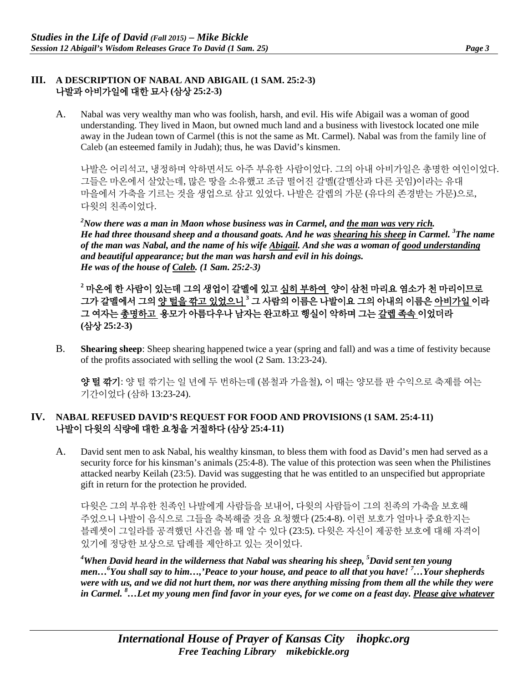#### **III. A DESCRIPTION OF NABAL AND ABIGAIL (1 SAM. 25:2-3)** 나발과 아비가일에 대한 묘사 **(**삼상 **25:2-3)**

A. Nabal was very wealthy man who was foolish, harsh, and evil. His wife Abigail was a woman of good understanding. They lived in Maon, but owned much land and a business with livestock located one mile away in the Judean town of Carmel (this is not the same as Mt. Carmel). Nabal was from the family line of Caleb (an esteemed family in Judah); thus, he was David's kinsmen.

나발은 어리석고, 냉정하며 악하면서도 아주 부유한 사람이었다. 그의 아내 아비가일은 총명한 여인이었다. 그들은 마온에서 살았는데, 많은 땅을 소유했고 조금 떨어진 갈멜(갈멜산과 다른 곳임)이라는 유대 마을에서 가축을 기르는 것을 생업으로 삼고 있었다. 나발은 갈렙의 가문 (유다의 존경받는 가문)으로, 다윗의 친족이었다.

*2 Now there was a man in Maon whose business was in Carmel, and the man was very rich. He had three thousand sheep and a thousand goats. And he was shearing his sheep in Carmel. 3 The name of the man was Nabal, and the name of his wife Abigail. And she was a woman of good understanding and beautiful appearance; but the man was harsh and evil in his doings. He was of the house of Caleb. (1 Sam. 25:2-3)*

**<sup>2</sup>** 마온에 한 사람이 있는데 그의 생업이 갈멜에 있고 심히 부하여 양이 삼천 마리요 염소가 천 마리이므로 그가 갈멜에서 그의 양 털을 깎고 있었으니 **<sup>3</sup>** 그 사람의 이름은 나발이요 그의 아내의 이름은 아비가일 이라 그 여자는 총명하고 용모가 아름다우나 남자는 완고하고 행실이 악하며 그는 갈렙 족속 이었더라 **(**삼상 **25:2-3)**

B. **Shearing sheep**: Sheep shearing happened twice a year (spring and fall) and was a time of festivity because of the profits associated with selling the wool (2 Sam. 13:23-24).

양 털 깎기: 양 털 깎기는 일 년에 두 번하는데 (봄철과 가을철), 이 때는 양모를 판 수익으로 축제를 여는 기간이었다 (삼하 13:23-24).

#### **IV. NABAL REFUSED DAVID'S REQUEST FOR FOOD AND PROVISIONS (1 SAM. 25:4-11)** 나발이 다윗의 식량에 대한 요청을 거절하다 **(**삼상 **25:4-11)**

A. David sent men to ask Nabal, his wealthy kinsman, to bless them with food as David's men had served as a security force for his kinsman's animals (25:4-8). The value of this protection was seen when the Philistines attacked nearby Keilah (23:5). David was suggesting that he was entitled to an unspecified but appropriate gift in return for the protection he provided.

다윗은 그의 부유한 친족인 나발에게 사람들을 보내어, 다윗의 사람들이 그의 친족의 가축을 보호해 주었으니 나발이 음식으로 그들을 축복해줄 것을 요청했다 (25:4-8). 이런 보호가 얼마나 중요한지는 블레셋이 그일라를 공격했던 사건을 볼 때 알 수 있다 (23:5). 다윗은 자신이 제공한 보호에 대해 자격이 있기에 정당한 보상으로 답례를 제안하고 있는 것이었다.

<sup>4</sup>When David heard in the wilderness that Nabal was shearing his sheep, <sup>5</sup>David sent ten young *men…6 You shall say to him…,'Peace to your house, and peace to all that you have! 7 …Your shepherds were with us, and we did not hurt them, nor was there anything missing from them all the while they were in Carmel. 8 …Let my young men find favor in your eyes, for we come on a feast day. Please give whatever*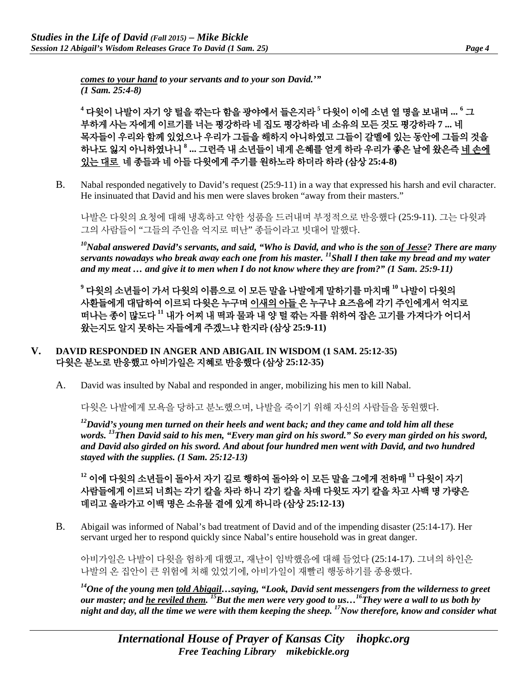*comes to your hand to your servants and to your son David.'" (1 Sam. 25:4-8)*

**<sup>4</sup>** 다윗이 나발이 자기 양 털을 깎는다 함을 광야에서 들은지라 **<sup>5</sup>** 다윗이 이에 소년 열 명을 보내며 **... <sup>6</sup>** 그 부하게 사는 자에게 이르기를 너는 평강하라 네 집도 평강하라 네 소유의 모든 것도 평강하라 **7 ...** 네 목자들이 우리와 함께 있었으나 우리가 그들을 해하지 아니하였고 그들이 갈멜에 있는 동안에 그들의 것을 하나도 잃지 아니하였나니 **<sup>8</sup> ...** 그런즉 내 소년들이 네게 은혜를 얻게 하라 우리가 좋은 날에 왔은즉 네 손에 있는 대로 네 종들과 네 아들 다윗에게 주기를 원하노라 하더라 하라 **(**삼상 **25:4-8)**

B. Nabal responded negatively to David's request (25:9-11) in a way that expressed his harsh and evil character. He insinuated that David and his men were slaves broken "away from their masters."

나발은 다윗의 요청에 대해 냉혹하고 악한 성품을 드러내며 부정적으로 반응했다 (25:9-11). 그는 다윗과 그의 사람들이 "그들의 주인을 억지로 떠난" 종들이라고 빗대어 말했다.

*10Nabal answered David's servants, and said, "Who is David, and who is the son of Jesse? There are many servants nowadays who break away each one from his master. 11Shall I then take my bread and my water and my meat … and give it to men when I do not know where they are from?" (1 Sam. 25:9-11)*

**<sup>9</sup>** 다윗의 소년들이 가서 다윗의 이름으로 이 모든 말을 나발에게 말하기를 마치매 **<sup>10</sup>** 나발이 다윗의 사환들에게 대답하여 이르되 다윗은 누구며 이새의 아들 은 누구냐 요즈음에 각기 주인에게서 억지로 떠나는 종이 많도다 **<sup>11</sup>** 내가 어찌 내 떡과 물과 내 양 털 깎는 자를 위하여 잡은 고기를 가져다가 어디서 왔는지도 알지 못하는 자들에게 주겠느냐 한지라 **(**삼상 **25:9-11)**

## **V. DAVID RESPONDED IN ANGER AND ABIGAIL IN WISDOM (1 SAM. 25:12-35)** 다윗은 분노로 반응했고 아비가일은 지혜로 반응했다 **(**삼상 **25:12-35)**

A. David was insulted by Nabal and responded in anger, mobilizing his men to kill Nabal.

다윗은 나발에게 모욕을 당하고 분노했으며, 나발을 죽이기 위해 자신의 사람들을 동원했다.

*12David's young men turned on their heels and went back; and they came and told him all these words. 13Then David said to his men, "Every man gird on his sword." So every man girded on his sword, and David also girded on his sword. And about four hundred men went with David, and two hundred stayed with the supplies. (1 Sam. 25:12-13)*

## **<sup>12</sup>** 이에 다윗의 소년들이 돌아서 자기 길로 행하여 돌아와 이 모든 말을 그에게 전하매 **<sup>13</sup>** 다윗이 자기 사람들에게 이르되 너희는 각기 칼을 차라 하니 각기 칼을 차매 다윗도 자기 칼을 차고 사백 명 가량은 데리고 올라가고 이백 명은 소유물 곁에 있게 하니라 **(**삼상 **25:12-13)**

B. Abigail was informed of Nabal's bad treatment of David and of the impending disaster (25:14-17). Her servant urged her to respond quickly since Nabal's entire household was in great danger.

아비가일은 나발이 다윗을 험하게 대했고, 재난이 임박했음에 대해 들었다 (25:14-17). 그녀의 하인은 나발의 온 집안이 큰 위험에 처해 있었기에, 아비가일이 재빨리 행동하기를 종용했다.

*14One of the young men told Abigail…saying, "Look, David sent messengers from the wilderness to greet our master; and he reviled them. 15But the men were very good to us…16They were a wall to us both by night and day, all the time we were with them keeping the sheep. 17Now therefore, know and consider what*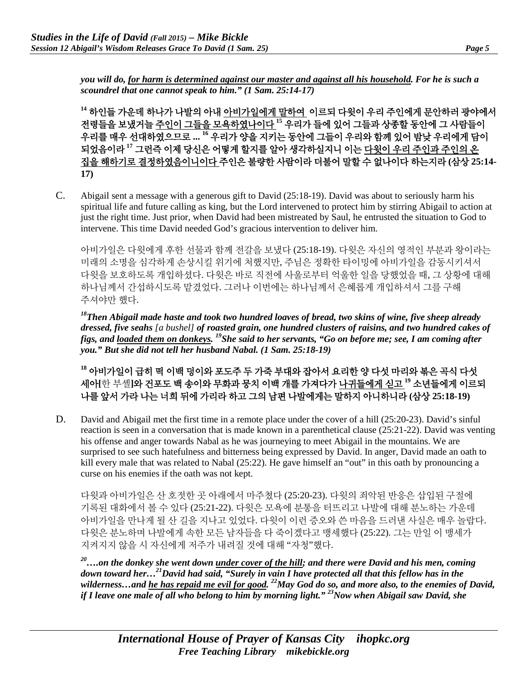*you will do, for harm is determined against our master and against all his household. For he is such a scoundrel that one cannot speak to him." (1 Sam. 25:14-17)*

**<sup>14</sup>** 하인들 가운데 하나가 나발의 아내 아비가일에게 말하여 이르되 다윗이 우리 주인에게 문안하러 광야에서 전령들을 보냈거늘 주인이 그들을 모욕하였나이다 **<sup>15</sup>** 우리가 들에 있어 그들과 상종할 동안에 그 사람들이 우리를 매우 선대하였으므로 **... <sup>16</sup>** 우리가 양을 지키는 동안에 그들이 우리와 함께 있어 밤낮 우리에게 담이 되었음이라 **<sup>17</sup>** 그런즉 이제 당신은 어떻게 할지를 알아 생각하실지니 이는 다윗이 우리 주인과 주인의 온 집을 해하기로 결정하였음이니이다 주인은 불량한 사람이라 더불어 말할 수 없나이다 하는지라 **(**삼상 **25:14- 17)**

C. Abigail sent a message with a generous gift to David (25:18-19). David was about to seriously harm his spiritual life and future calling as king, but the Lord intervened to protect him by stirring Abigail to action at just the right time. Just prior, when David had been mistreated by Saul, he entrusted the situation to God to intervene. This time David needed God's gracious intervention to deliver him.

아비가일은 다윗에게 후한 선물과 함께 전갈을 보냈다 (25:18-19). 다윗은 자신의 영적인 부분과 왕이라는 미래의 소명을 심각하게 손상시킬 위기에 처했지만, 주님은 정확한 타이밍에 아비가일을 감동시키셔서 다윗을 보호하도록 개입하셨다. 다윗은 바로 직전에 사울로부터 억울한 일을 당했었을 때, 그 상황에 대해 하나님께서 간섭하시도록 맡겼었다. 그러나 이번에는 하나님께서 은혜롭게 개입하셔서 그를 구해 주셔야만 했다.

*18Then Abigail made haste and took two hundred loaves of bread, two skins of wine, five sheep already dressed, five seahs [a bushel] of roasted grain, one hundred clusters of raisins, and two hundred cakes of figs, and loaded them on donkeys. 19She said to her servants, "Go on before me; see, I am coming after you." But she did not tell her husband Nabal. (1 Sam. 25:18-19)*

**<sup>18</sup>** 아비가일이 급히 떡 이백 덩이와 포도주 두 가죽 부대와 잡아서 요리한 양 다섯 마리와 볶은 곡식 다섯 세아**[**한 부셸**]**와 건포도 백 송이와 무화과 뭉치 이백 개를 가져다가 나귀들에게 싣고 **<sup>19</sup>** 소년들에게 이르되 나를 앞서 가라 나는 너희 뒤에 가리라 하고 그의 남편 나발에게는 말하지 아니하니라 **(**삼상 **25:18-19)**

D. David and Abigail met the first time in a remote place under the cover of a hill (25:20-23). David's sinful reaction is seen in a conversation that is made known in a parenthetical clause (25:21-22). David was venting his offense and anger towards Nabal as he was journeying to meet Abigail in the mountains. We are surprised to see such hatefulness and bitterness being expressed by David. In anger, David made an oath to kill every male that was related to Nabal (25:22). He gave himself an "out" in this oath by pronouncing a curse on his enemies if the oath was not kept.

다윗과 아비가일은 산 호젓한 곳 아래에서 마주쳤다 (25:20-23). 다윗의 죄악된 반응은 삽입된 구절에 기록된 대화에서 볼 수 있다 (25:21-22). 다윗은 모욕에 분통을 터뜨리고 나발에 대해 분노하는 가운데 아비가일을 만나게 될 산 길을 지나고 있었다. 다윗이 이런 증오와 쓴 마음을 드러낸 사실은 매우 놀랍다. 다윗은 분노하며 나발에게 속한 모든 남자들을 다 죽이겠다고 맹세했다 (25:22). 그는 만일 이 맹세가 지켜지지 않을 시 자신에게 저주가 내려질 것에 대해 "자청"했다.

*20….on the donkey she went down under cover of the hill; and there were David and his men, coming down toward her…21David had said, "Surely in vain I have protected all that this fellow has in the wilderness…and he has repaid me evil for good. 22May God do so, and more also, to the enemies of David, if I leave one male of all who belong to him by morning light."* <sup>23</sup>Now when Abigail saw David, she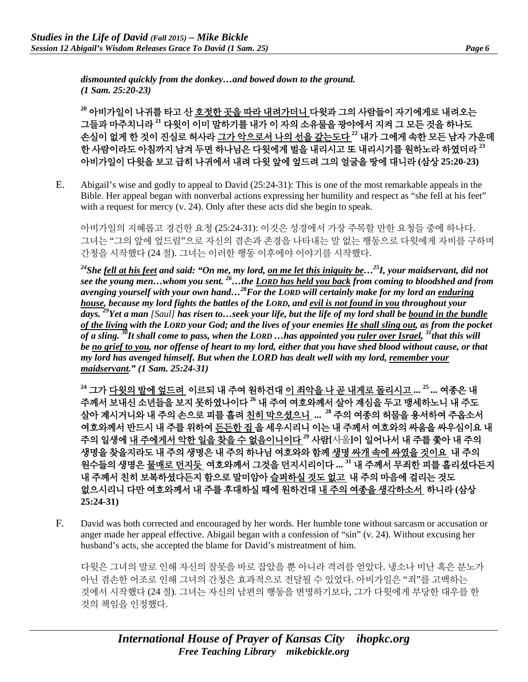*dismounted quickly from the donkey…and bowed down to the ground. (1 Sam. 25:20-23)*

**<sup>20</sup>** 아비가일이 나귀를 타고 산 호젓한 곳을 따라 내려가더니 다윗과 그의 사람들이 자기에게로 내려오는 그들과 마주치니라 **<sup>21</sup>** 다윗이 이미 말하기를 내가 이 자의 소유물을 광야에서 지켜 그 모든 것을 하나도 손실이 없게 한 것이 진실로 허사라 그가 악으로서 나의 선을 갚는도다 **<sup>22</sup>** 내가 그에게 속한 모든 남자 가운데 한 사람이라도 아침까지 남겨 두면 하나님은 다윗에게 벌을 내리시고 또 내리시기를 원하노라 하였더라 **<sup>23</sup>** 아비가일이 다윗을 보고 급히 나귀에서 내려 다윗 앞에 엎드려 그의 얼굴을 땅에 대니라 **(**삼상 **25:20-23)**

E. Abigail's wise and godly to appeal to David (25:24-31): This is one of the most remarkable appeals in the Bible. Her appeal began with nonverbal actions expressing her humility and respect as "she fell at his feet" with a request for mercy (v. 24). Only after these acts did she begin to speak.

아비가일의 지혜롭고 경건한 요청 (25:24-31): 이것은 성경에서 가장 주목할 만한 요청들 중에 하나다. 그녀는 "그의 앞에 엎드림"으로 자신의 겸손과 존경을 나타내는 말 없는 행동으로 다윗에게 자비를 구하며 간청을 시작했다 (24 절). 그녀는 이러한 행동 이후에야 이야기를 시작했다.

*24She fell at his feet and said: "On me, my lord, on me let this iniquity be…25I, your maidservant, did not see the young men…whom you sent. 26…the LORD has held you back from coming to bloodshed and from avenging yourself with your own hand…28For the LORD will certainly make for my lord an enduring house, because my lord fights the battles of the LORD, and evil is not found in you throughout your days. 29Yet a man [Saul] has risen to…seek your life, but the life of my lord shall be bound in the bundle of the living with the LORD your God; and the lives of your enemies He shall sling out, as from the pocket of a sling. 30It shall come to pass, when the LORD …has appointed you ruler over Israel, 31that this will be no grief to you, nor offense of heart to my lord, either that you have shed blood without cause, or that my lord has avenged himself. But when the LORD has dealt well with my lord, remember your maidservant." (1 Sam. 25:24-31)*

**<sup>24</sup>** 그가 다윗의 발에 엎드려 이르되 내 주여 원하건대 이 죄악을 나 곧 내게로 돌리시고 **... <sup>25</sup> ...** 여종은 내 주께서 보내신 소년들을 보지 못하였나이다 **<sup>26</sup>** 내 주여 여호와께서 살아 계심을 두고 맹세하노니 내 주도 살아 계시거니와 내 주의 손으로 피를 흘려 친히 막으셨으니 **... <sup>28</sup>** 주의 여종의 허물을 용서하여 주옵소서 여호와께서 반드시 내 주를 위하여 든든한 집 을 세우시리니 이는 내 주께서 여호와의 싸움을 싸우심이요 내 주의 일생에 내 주에게서 악한 일을 찾을 수 없음이니이다 **<sup>29</sup>** 사람**[**사울**]**이 일어나서 내 주를 쫓아 내 주의 생명을 찾을지라도 내 주의 생명은 내 주의 하나님 여호와와 함께 생명 싸개 속에 싸였을 것이요 내 주의 원수들의 생명은 물매로 던지듯 여호와께서 그것을 던지시리이다 **... <sup>31</sup>** 내 주께서 무죄한 피를 흘리셨다든지 내 주께서 친히 보복하셨다든지 함으로 말미암아 슬퍼하실 것도 없고 내 주의 마음에 걸리는 것도 없으시리니 다만 여호와께서 내 주를 후대하실 때에 원하건대 내 주의 여종을 생각하소서 하니라 **(**삼상 **25:24-31)**

F. David was both corrected and encouraged by her words. Her humble tone without sarcasm or accusation or anger made her appeal effective. Abigail began with a confession of "sin" (v. 24). Without excusing her husband's acts, she accepted the blame for David's mistreatment of him.

다윗은 그녀의 말로 인해 자신의 잘못을 바로 잡았을 뿐 아니라 격려를 얻았다. 냉소나 비난 혹은 분노가 아닌 겸손한 어조로 인해 그녀의 간청은 효과적으로 전달될 수 있었다. 아비가일은 "죄"를 고백하는 것에서 시작했다 (24 절). 그녀는 자신의 남편의 행동을 변명하기보다, 그가 다윗에게 부당한 대우를 한 것의 책임을 인정했다.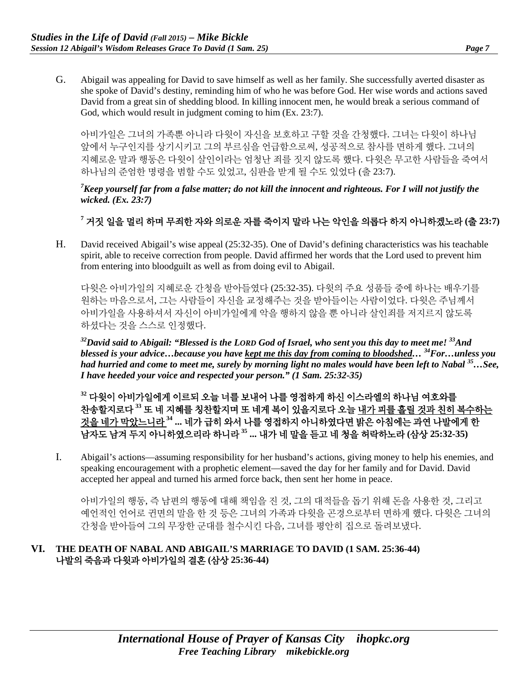G. Abigail was appealing for David to save himself as well as her family. She successfully averted disaster as she spoke of David's destiny, reminding him of who he was before God. Her wise words and actions saved David from a great sin of shedding blood. In killing innocent men, he would break a serious command of God, which would result in judgment coming to him (Ex. 23:7).

아비가일은 그녀의 가족뿐 아니라 다윗이 자신을 보호하고 구할 것을 간청했다. 그녀는 다윗이 하나님 앞에서 누구인지를 상기시키고 그의 부르심을 언급함으로써, 성공적으로 참사를 면하게 했다. 그녀의 지혜로운 말과 행동은 다윗이 살인이라는 엄청난 죄를 짓지 않도록 했다. 다윗은 무고한 사람들을 죽여서 하나님의 준엄한 명령을 범할 수도 있었고, 심판을 받게 될 수도 있었다 (출 23:7).

*7 Keep yourself far from a false matter; do not kill the innocent and righteous. For I will not justify the wicked. (Ex. 23:7)*

# **<sup>7</sup>** 거짓 일을 멀리 하며 무죄한 자와 의로운 자를 죽이지 말라 나는 악인을 의롭다 하지 아니하겠노라 **(**출 **23:7)**

H. David received Abigail's wise appeal (25:32-35). One of David's defining characteristics was his teachable spirit, able to receive correction from people. David affirmed her words that the Lord used to prevent him from entering into bloodguilt as well as from doing evil to Abigail.

다윗은 아비가일의 지혜로운 간청을 받아들였다 (25:32-35). 다윗의 주요 성품들 중에 하나는 배우기를 원하는 마음으로서, 그는 사람들이 자신을 교정해주는 것을 받아들이는 사람이었다. 다윗은 주님께서 아비가일을 사용하셔서 자신이 아비가일에게 악을 행하지 않을 뿐 아니라 살인죄를 저지르지 않도록 하셨다는 것을 스스로 인정했다.

*32David said to Abigail: "Blessed is the LORD God of Israel, who sent you this day to meet me! 33And blessed is your advice…because you have kept me this day from coming to bloodshed… 34For…unless you had hurried and come to meet me, surely by morning light no males would have been left to Nabal 35…See, I have heeded your voice and respected your person." (1 Sam. 25:32-35)*

**<sup>32</sup>** 다윗이 아비가일에게 이르되 오늘 너를 보내어 나를 영접하게 하신 이스라엘의 하나님 여호와를 찬송할지로다 **<sup>33</sup>** 또 네 지혜를 칭찬할지며 또 네게 복이 있을지로다 오늘 내가 피를 흘릴 것과 친히 복수하는 것을 네가 막았느니라 **<sup>34</sup> ...** 네가 급히 와서 나를 영접하지 아니하였다면 밝은 아침에는 과연 나발에게 한 남자도 남겨 두지 아니하였으리라 하니라 **<sup>35</sup> ...** 내가 네 말을 듣고 네 청을 허락하노라 **(**삼상 **25:32-35)**

I. Abigail's actions—assuming responsibility for her husband's actions, giving money to help his enemies, and speaking encouragement with a prophetic element—saved the day for her family and for David. David accepted her appeal and turned his armed force back, then sent her home in peace.

아비가일의 행동, 즉 남편의 행동에 대해 책임을 진 것, 그의 대적들을 돕기 위해 돈을 사용한 것, 그리고 예언적인 언어로 귄면의 말을 한 것 등은 그녀의 가족과 다윗을 곤경으로부터 면하게 했다. 다윗은 그녀의 간청을 받아들여 그의 무장한 군대를 철수시킨 다음, 그녀를 평안히 집으로 돌려보냈다.

## **VI. THE DEATH OF NABAL AND ABIGAIL'S MARRIAGE TO DAVID (1 SAM. 25:36-44)** 나발의 죽음과 다윗과 아비가일의 결혼 **(**삼상 **25:36-44)**